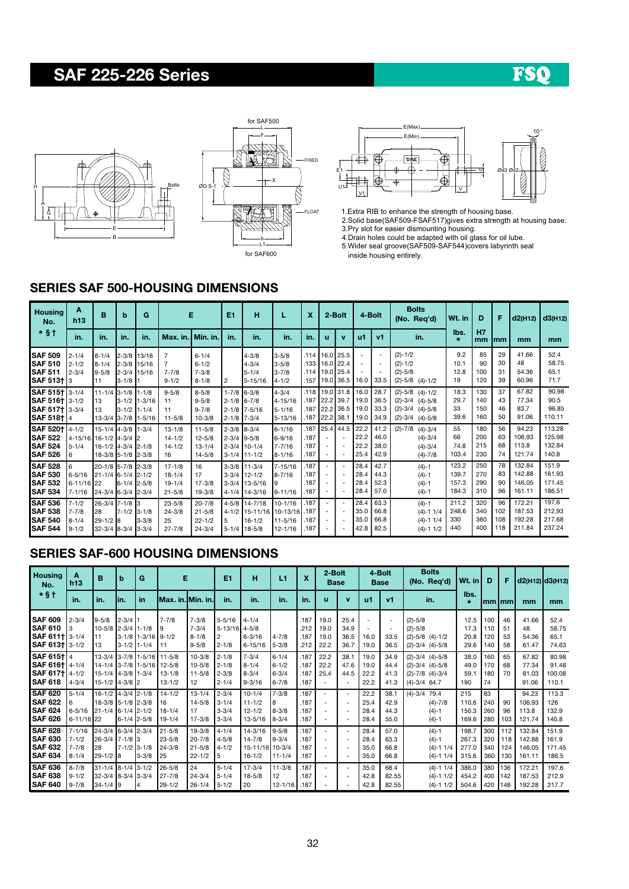# SAF 225-226 Series

## FSO







1.Extra RIB to enhance the strength of housing base.

2.Solid base(SAF509-FSAF517)gives extra strength at housing base.

3.Pry slot for easier dismounting housing.

4.Drain holes could be adapted with oil glass for oil lube. 5.Wider seal groove(SAF509-SAF544)covers labyrinth seal inside housing entirely.

#### SERIES SAF 500-HOUSING DIMENSIONS

| <b>Housing</b><br>No.                                                          | A<br>h13                                              | B                                                                  | b                                       | G                                    |                                                            | Е                                                    | E1                                 | н                                                                    |                                                    | X                                |                                                                                  | 4-Bolt<br>2-Bolt                                     |                              | <b>Bolts</b><br>(No. Req'd)  | Wt. in                                                                                                | D                                | F                        | d2(H12)                 | d3(H12)                              |                                     |
|--------------------------------------------------------------------------------|-------------------------------------------------------|--------------------------------------------------------------------|-----------------------------------------|--------------------------------------|------------------------------------------------------------|------------------------------------------------------|------------------------------------|----------------------------------------------------------------------|----------------------------------------------------|----------------------------------|----------------------------------------------------------------------------------|------------------------------------------------------|------------------------------|------------------------------|-------------------------------------------------------------------------------------------------------|----------------------------------|--------------------------|-------------------------|--------------------------------------|-------------------------------------|
| $*$ §†                                                                         | in.                                                   | in.                                                                | in.                                     | in.                                  | Max. in.   Min. in.                                        |                                                      | in.                                | in.                                                                  | in.                                                | in.                              | ū                                                                                | $\mathbf{v}$                                         | $u$                          | V <sub>1</sub>               | in.                                                                                                   | lbs.<br>$\star$                  | <b>H7</b><br>mm          | Imm                     | mm                                   | mm                                  |
| <b>SAF 509</b><br><b>ISAF 510</b><br><b>SAF 511</b><br><b>SAF 513+13</b>       | $2 - 1/4$<br>$2 - 1/2$<br>$2 - 3/4$                   | $8 - 1/4$<br>$8 - 1/4$<br>$9 - 5/8$<br>11                          | 2-3/8 15/16<br>$2 - 3/4$<br>$3 - 1/8$ 1 | 2-3/8 13/16<br>15/16                 | $\overline{7}$<br>$\overline{7}$<br>$7 - 7/8$<br>$9 - 1/2$ | $6 - 1/4$<br>$6 - 1/2$<br>$7 - 3/8$<br>$8 - 1/8$     | 2                                  | $4 - 3/8$<br>$4 - 3/4$<br>$5 - 1/4$<br>5-15/16                       | $3 - 5/8$<br>$3 - 5/8$<br>$3 - 7/8$<br>$4 - 1/2$   | .114<br>.133 I<br>.114 l<br>.157 |                                                                                  | 16.0 25.5<br>16.0 22.4<br>19.0 25.4                  | 19.0 36.5 16.0               | 33.5                         | $(2)-1/2$<br>$(2)-1/2$<br>$(2)-5/8$<br>$(2)-5/8$ $(4)-1/2$                                            | 9.2<br>10.1<br>12.8<br>19        | 85<br>90<br>100<br>120   | 29<br>30<br>31<br>39    | 41.66<br>48<br>54.36<br>60.96        | 52.4<br>58.75<br>65.1<br>71.7       |
| SAF 515+ 3-1/4<br>SAF 516+ 3-1/2<br><b>SAF 517+13-3/4</b><br><b>SAF 518+14</b> |                                                       | $11 - 1/4$<br>13<br>13                                             | 3-1/8 1-1/8<br>$3 - 1/2$ 1-1/4          | 3-1/2 1-3/16<br>13-3/4 3-7/8 11-5/16 | $9 - 5/8$<br>11<br>11<br>$11 - 5/8$                        | $8 - 5/8$<br>$9 - 5/8$<br>$9 - 7/8$<br>$10 - 3/8$    | 2-1/8 6-7/8<br>$2 - 1/8$ 7-3/4     | $1 - 7/8$ 6-3/8<br>$2 - 1/8$ 7-5/16                                  | $4 - 3/4$<br>4-15/16<br>$5 - 1/16$<br>5-13/16      | .118<br>.187 I<br>.187 I         | .187 22.2 38.1                                                                   | $19.0$ 31.8<br>22.2 39.7<br>22.2 36.5 19.0           | 16.0<br>119.0<br>$19.0$ 34.9 | 28.7<br>36.5<br>33.3         | $(2)-5/8$<br>$(4) - 1/2$<br>$(2)-3/4$ $(4)-5/8$<br>$(2)-3/4$<br>$(4)-5/8$<br>$(2)-3/4$<br>$(4) - 5/8$ | 18.3<br>29.7<br>33<br>39.6       | 130<br>140<br>150<br>160 | 37<br>43<br>46<br>50    | 67.82<br>77.34<br>83.7<br>91.06      | 90.98<br>90.5<br>96.85<br>110.11    |
| <b>SAF 5201</b><br><b>SAF 522</b><br><b>SAF 524</b><br><b>SAF 526</b>          | $4 - 1/2$<br>4-15/16 16-1/2 4-3/4 2<br>$5 - 1/4$<br>6 | 15-1/4 4-3/8 1-3/4<br>16-1/2 4-3/4 2-1/8<br>18-3/8 5-1/8 2-3/8     |                                         |                                      | $13 - 1/8$<br>$14 - 1/2$<br>$14 - 1/2$<br>16               | $11 - 5/8$<br>$12 - 5/8$<br>$13 - 1/4$<br>$14 - 5/8$ | $2 - 3/8$ 8-3/4<br>$2 - 3/4$ 9-5/8 | $2 - 3/4$ 10-1/4<br>$3-1/4$ 11-1/2                                   | $6 - 1/16$<br>$6 - 9/16$<br>7-7/16<br>$8 - 1/16$   | .187<br>.187<br>.187<br>.187     | $\overline{\phantom{a}}$<br>$\overline{\phantom{a}}$                             | $25.4$ 44.5<br>$\overline{\phantom{a}}$              | 22.2<br>22.2<br>22.2<br>25.4 | 41.2<br>46.0<br>38.0<br>42.9 | $(2)-7/8$<br>$(4) - 3/4$<br>$(4) - 3/4$<br>$(4) - 3/4$<br>$(4)-7/8$                                   | 55<br>66<br>74.8<br>103.4        | 180<br>200<br>215<br>230 | 56<br>63<br>68<br>74    | 94.23<br>106.93<br>113.8<br>121.74   | 113.28<br>125.98<br>132.84<br>140.8 |
| <b>SAF 528</b><br><b>SAF 530</b><br><b>SAF 532</b><br><b>SAF 534</b>           | $6 - 5/16$<br>6-11/16 22<br>$7 - 1/16$                | 20-1/8 5-7/8 2-3/8<br>$21 - 1/4$ 6-1/4 2-1/2<br>24-3/4 6-3/4 2-3/4 | $6 - 1/4$                               | $2 - 5/8$                            | $17 - 1/8$<br>$18 - 1/4$<br>$19 - 1/4$<br>$21 - 5/8$       | 16<br>17<br>$17 - 3/8$<br>$19 - 3/8$                 |                                    | $3-3/8$ 11-3/4<br>$3-3/4$ 12-1/2<br>$3-3/4$ 13-5/16<br>4-1/4 14-3/16 | $7 - 15/16$<br>8-7/16<br>9-11/16                   | .187<br>.187<br>.187<br>.187     | $\overline{\phantom{a}}$<br>$\overline{\phantom{a}}$                             | $\overline{\phantom{a}}$<br>$\overline{\phantom{a}}$ | 28.4<br>28.4<br>28.4<br>28.4 | 42.7<br>44.3<br>52.3<br>57.0 | $(4)-1$<br>$(4)-1$<br>$(4)-1$<br>$(4)-1$                                                              | 123.2<br>139.7<br>157.3<br>184.3 | 250<br>270<br>290<br>310 | 78<br>83<br>90<br>96    | 132.84<br>142.88<br>146.05<br>161.11 | 151.9<br>161.93<br>171.45<br>186.51 |
| <b>SAF 536</b><br><b>SAF 538</b><br><b>SAF 540</b><br><b>SAF 544</b>           | $7 - 1/2$<br>$7 - 7/8$<br>$8 - 1/4$<br>$9 - 1/2$      | 26-3/4 7-1/8 3<br>28<br>$29 - 1/2$ 8<br>$32 - 3/4$ 8-3/4           | 7-1/2 3-1/8                             | $3 - 3/8$<br>$3 - 3/4$               | $23 - 5/8$<br>$24 - 3/8$<br>25<br>$27 - 7/8$               | $20 - 7/8$<br>$21 - 5/8$<br>$22 - 1/2$<br>$24 - 3/4$ | 5                                  | 4-5/8 14-7/18<br>4-1/2 15-11/16<br>$16 - 1/2$<br>$5 - 1/4$ 18-5/8    | 10-1/16<br>10-13/16 .187<br>$11 - 5/16$<br>12-1/16 | .187<br>.187<br>.187             | $\overline{\phantom{a}}$<br>$\overline{\phantom{a}}$<br>$\overline{\phantom{a}}$ | $\overline{\phantom{a}}$<br>$\overline{\phantom{a}}$ | 28.4<br>35.0<br>35.0<br>42.8 | 63.3<br>66.8<br>66.8<br>82.5 | $(4)-1$<br>$(4)-1$ 1/4<br>$(4)-1$ 1/4<br>$(4)-1$ $1/2$                                                | 211.2<br>248.6<br>330<br>440     | 320<br>340<br>360<br>400 | 96<br>102<br>108<br>118 | 172.21<br>187.53<br>192.28<br>211.84 | 197.6<br>212.93<br>217.68<br>237.24 |

### SERIES SAF-600 HOUSING DIMENSIONS

| <b>Housing</b><br>No.                                         | A<br>B<br>h13                                     |                                                                     | b                              | G                  | Е                                                                                |                                                      | E <sub>1</sub>                                           | н                                                          | L1                                               | X                            | 2-Bolt<br><b>Base</b>        |                              | <b>Bolts</b><br>4-Bolt<br>(No. Req'd)<br><b>Base</b> |                                  | Wt. in                                                                                | D                                | F.                       | d2(H12) d3(H12)          |                                      |                                   |
|---------------------------------------------------------------|---------------------------------------------------|---------------------------------------------------------------------|--------------------------------|--------------------|----------------------------------------------------------------------------------|------------------------------------------------------|----------------------------------------------------------|------------------------------------------------------------|--------------------------------------------------|------------------------------|------------------------------|------------------------------|------------------------------------------------------|----------------------------------|---------------------------------------------------------------------------------------|----------------------------------|--------------------------|--------------------------|--------------------------------------|-----------------------------------|
| $*$ §†                                                        | in.                                               | in.                                                                 | lin.                           | in.                | Max. in. Min. in.                                                                |                                                      | in.                                                      | in.                                                        | in.                                              | in.                          | u                            | v                            | u1                                                   | V <sub>1</sub>                   | in.                                                                                   | lbs.<br>$\star$                  | lmm Imm                  |                          | mm                                   | mm                                |
| SAF 609<br>SAF 610<br><b>SAF 6111 3-1/4</b><br>SAF 613+ 3-1/2 | $2 - 3/4$<br>3                                    | $9 - 5/8$<br>10-5/8 2-3/4 1-1/8<br>111<br>13                        | $2 - 3/4$ 1<br>$3 - 1/2$ 1-1/4 | 3-1/8 1-3/16 9-1/2 | $7 - 7/8$<br>۱9<br>I 11                                                          | $7 - 3/8$<br>$7 - 3/4$<br>$8 - 1/8$<br>$9 - 5/8$     | $5 - 5/16$<br>$5 - 13/16$<br>$\overline{2}$<br>$2 - 1/8$ | $4 - 1/4$<br>$4 - 5/8$<br>$6 - 3/16$<br>$6 - 15/16$        | $4 - 7/8$<br>$5 - 3/8$                           | .187<br>.212<br>.187<br>.212 | 19.0<br>19.0<br>19.0<br>22.2 | 25.4<br>34.9<br>36.5<br>36.7 | 16.0<br>19.0                                         | $\sim$<br>$\sim$<br>33.5<br>36.5 | $(2)-5/8$<br>$(2)-5/8$<br>$(2)-5/8$ $(4)-1/2$<br>$(2)-3/4$ $(4)-5/8$                  | 12.5<br>17.3<br>20.8<br>29.6     | 100<br>110<br>120<br>140 | 46<br>51<br>53<br>58     | 41.66<br>48<br>54.36<br>61.47        | 52.4<br>58.75<br>65.1<br>74.63    |
| SAF 615+ 4<br>SAF 616+ 4-1/4<br>SAF 617+ 4-1/2<br>SAF 618     | $4 - 3/4$                                         | 15-1/4 4-3/8 1-3/4<br>$15-1/2$ 4-3/8 2                              |                                |                    | 13-3/4 3-7/8 1-5/16 11-5/8<br>14-1/4 3-7/8 1-5/16 12-5/8<br>13-1/8<br>$13 - 1/2$ | $10 - 3/8$<br>$10 - 5/8$<br>$11 - 5/8$<br>12         | $2 - 1/8$<br>$2 - 1/8$<br>$2 - 3/8$<br>$2 - 1/4$         | $7 - 3/4$<br>$8 - 1/4$<br>$8 - 3/4$<br>$9 - 3/16$          | $6 - 1/4$<br>$6 - 1/2$<br>$6 - 3/4$<br>$6 - 7/8$ | .187<br>.187<br>.187<br>.187 | 22.2<br>22.2<br>25.4         | 38.1<br>47.6<br>44.5         | 19.0<br>19.0<br>22.2<br>22.2                         | 34.9<br>44.4<br>41.3<br>41.3     | $(2)-3/4$ $(4)-5/8$<br>$(2)-3/4$ $(4)-5/8$<br>$(2)-7/8$ $(4)-3/4$<br>$(4) - 3/4$ 64.7 | 38.0<br>49.0<br>59.1<br>190      | 160<br>170<br>180<br>74  | 65<br>68<br>70           | 67.82<br>77.34<br>81.03<br>91.06     | 80.98<br>91.48<br>100.08<br>110.1 |
| <b>SAF 620</b><br><b>SAF 622</b><br><b>SAF 624</b><br>SAF 626 | $5 - 1/4$<br>6<br>$6 - 5/16$<br>$6 - 11/16$ 22    | 16-1/2 4-3/4 2-1/8<br>18-3/8 5-1/8 2-3/8<br>$121 - 1/4$ 6-1/4 2-1/2 | $6-1/4$ 2-5/8                  |                    | $14 - 1/2$<br>116<br>$18 - 1/4$<br>$19 - 1/4$                                    | $13 - 1/4$<br>$14 - 5/8$<br>17<br>$17 - 3/8$         | $2 - 3/4$<br>$3 - 1/4$<br>$3 - 3/4$<br>$3 - 3/4$         | $10 - 1/4$<br>$11 - 1/2$<br>$12 - 1/2$<br>13-5/16          | $7 - 3/8$<br>$8 - 3/8$<br>$8 - 3/4$              | 187<br>.187<br>.187<br>.187  | $\overline{\phantom{a}}$     |                              | 22.2<br>25.4<br>28.4<br>28.4                         | 38.1<br>42.9<br>44.3<br>55.0     | $(4) - 3/4$<br>79.4<br>$(4)-7/8$<br>$(4)-1$<br>$(4)-1$                                | 215<br>110.6<br>150.3<br>169.6   | 83<br>240<br>260<br>280  | 90<br>96<br>103          | 94.23<br>106.93<br>113.8<br>121.74   | 113.3<br>126<br>132.9<br>140.8    |
| <b>SAF 628</b><br><b>SAF 630</b><br>SAF 632<br>SAF 634        | $7 - 1/16$<br>$7 - 1/2$<br>$7 - 7/8$<br>$8 - 1/4$ | 24-3/4 6-3/4 2-3/4<br>26-3/4 7-1/8 3<br>28<br>$29-1/2$ 8            | $7 - 1/2$ 3-1/8                | $3 - 3/8$          | 21-5/8<br>23-5/8<br>$24 - 3/8$<br><b>25</b>                                      | $19 - 3/8$<br>$20 - 7/8$<br>$21 - 5/8$<br>$22 - 1/2$ | $4 - 1/4$<br>$4 - 5/8$<br>$4 - 1/2$<br>5                 | $14 - 3/16$<br>$14 - 7/8$<br>15-11/16 10-3/4<br>$16 - 1/2$ | $9 - 5/8$<br>$9 - 3/4$<br>$11 - 1/4$             | 187<br>.187<br>.187<br>.187  |                              |                              | 28.4<br>28.4<br>35.0<br>35.0                         | 57.0<br>63.3<br>66.8<br>66.8     | $(4)-1$<br>$(4)-1$<br>$(4)-1$ 1/4<br>$(4)-1$ 1/4                                      | 198.7<br>267.3<br>277.0<br>315.6 | 300<br>320<br>340<br>360 | 112<br>118<br>124<br>130 | 132.84<br>142.88<br>146.05<br>161.11 | 151.9<br>161.9<br>171.45<br>186.5 |
| <b>SAF 636</b><br><b>SAF 638</b><br><b>SAF 640</b>            | $8 - 7/8$<br>$9 - 1/2$<br>$9 - 7/8$               | 31-1/4 8-1/4 3-1/2<br>32-3/4 8-3/4 3-3/4<br>$34 - 1/4$ 9            |                                |                    | $26 - 5/8$<br>$27 - 7/8$<br>$29 - 1/2$                                           | 24<br>$24 - 3/4$<br>$26 - 1/4$                       | $5 - 1/4$<br>$5 - 1/4$<br>$5 - 1/2$                      | $17 - 3/4$<br>$18 - 5/8$<br>20                             | $11 - 3/8$<br>12<br>12-1/16 187                  | 187<br>.187                  | $\overline{\phantom{a}}$     |                              | 35.0<br>42.8<br>42.8                                 | 68.4<br>82.55<br>82.55           | $(4)-1$ 1/4<br>$(4)-1$ 1/2<br>$(4)-1$ 1/2                                             | 386.0<br>454.2<br>504.6          | 380<br>400<br>420 148    | 136<br>1142              | 172.21<br>187.53<br>192.28           | 197.6<br>212.9<br>217.7           |